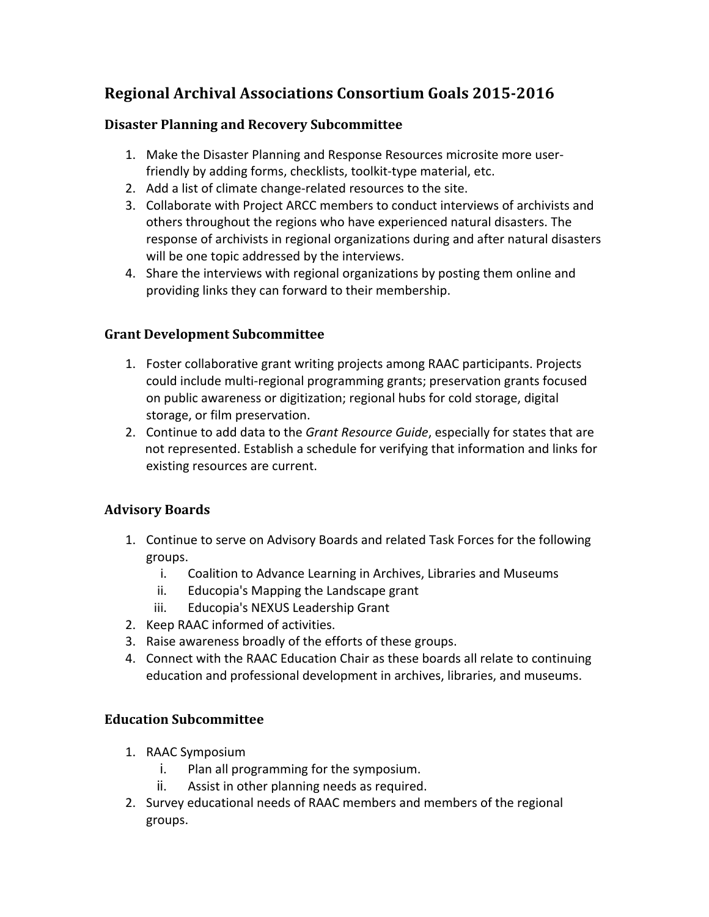# **Regional Archival Associations Consortium Goals 2015-2016**

### **Disaster Planning and Recovery Subcommittee**

- 1. Make the Disaster Planning and Response Resources microsite more userfriendly by adding forms, checklists, toolkit-type material, etc.
- 2. Add a list of climate change-related resources to the site.
- 3. Collaborate with Project ARCC members to conduct interviews of archivists and others throughout the regions who have experienced natural disasters. The response of archivists in regional organizations during and after natural disasters will be one topic addressed by the interviews.
- 4. Share the interviews with regional organizations by posting them online and providing links they can forward to their membership.

# **Grant Development Subcommittee**

- 1. Foster collaborative grant writing projects among RAAC participants. Projects could include multi-regional programming grants; preservation grants focused on public awareness or digitization; regional hubs for cold storage, digital storage, or film preservation.
- 2. Continue to add data to the Grant Resource Guide, especially for states that are not represented. Establish a schedule for verifying that information and links for existing resources are current.

# **Advisory Boards**

- 1. Continue to serve on Advisory Boards and related Task Forces for the following groups.
	- i. Coalition to Advance Learning in Archives, Libraries and Museums
	- ii. Educopia's Mapping the Landscape grant
	- iii. Educopia's NEXUS Leadership Grant
- 2. Keep RAAC informed of activities.
- 3. Raise awareness broadly of the efforts of these groups.
- 4. Connect with the RAAC Education Chair as these boards all relate to continuing education and professional development in archives, libraries, and museums.

# **Education Subcommittee**

- 1. RAAC Symposium
	- i. Plan all programming for the symposium.
	- ii. Assist in other planning needs as required.
- 2. Survey educational needs of RAAC members and members of the regional groups.